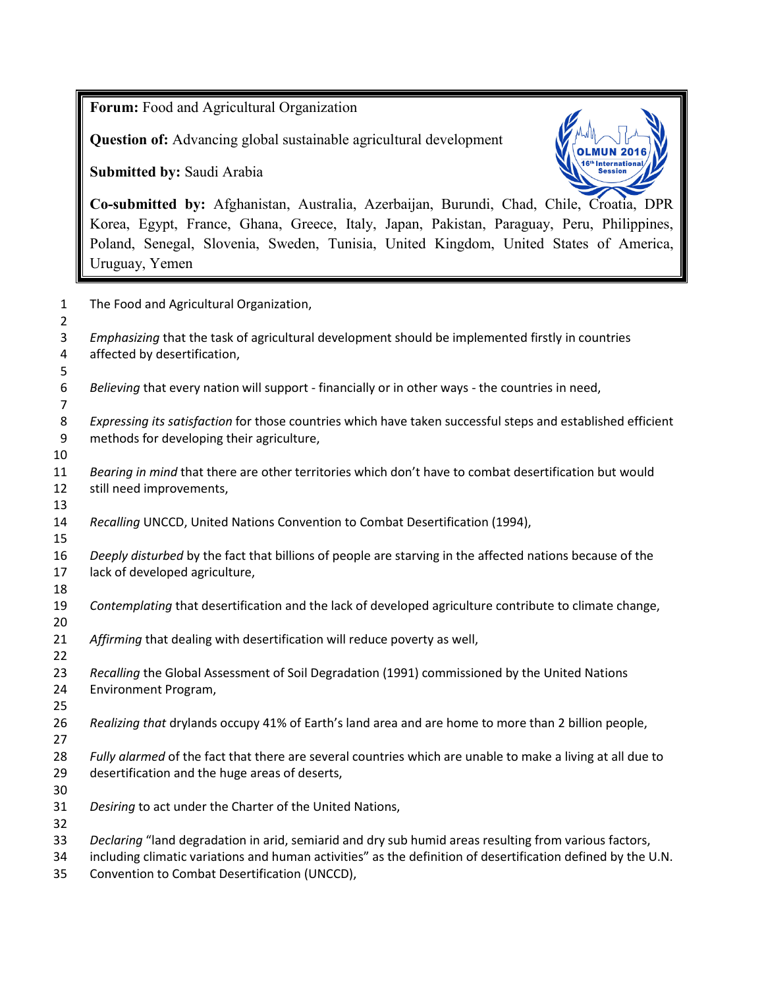**Forum:** Food and Agricultural Organization

**Question of:** Advancing global sustainable agricultural development

**Submitted by:** Saudi Arabia



**Co-submitted by:** Afghanistan, Australia, Azerbaijan, Burundi, Chad, Chile, Croatia, DPR Korea, Egypt, France, Ghana, Greece, Italy, Japan, Pakistan, Paraguay, Peru, Philippines, Poland, Senegal, Slovenia, Sweden, Tunisia, United Kingdom, United States of America, Uruguay, Yemen

| $\mathbf{1}$<br>$\overline{2}$ | The Food and Agricultural Organization,                                                                                                                                                                                                                                |
|--------------------------------|------------------------------------------------------------------------------------------------------------------------------------------------------------------------------------------------------------------------------------------------------------------------|
| 3<br>4                         | Emphasizing that the task of agricultural development should be implemented firstly in countries<br>affected by desertification,                                                                                                                                       |
| 5<br>6<br>$\overline{7}$       | Believing that every nation will support - financially or in other ways - the countries in need,                                                                                                                                                                       |
| 8<br>9                         | Expressing its satisfaction for those countries which have taken successful steps and established efficient<br>methods for developing their agriculture,                                                                                                               |
| 10<br>11<br>12                 | Bearing in mind that there are other territories which don't have to combat desertification but would<br>still need improvements,                                                                                                                                      |
| 13<br>14<br>15                 | Recalling UNCCD, United Nations Convention to Combat Desertification (1994),                                                                                                                                                                                           |
| 16<br>17<br>18                 | Deeply disturbed by the fact that billions of people are starving in the affected nations because of the<br>lack of developed agriculture,                                                                                                                             |
| 19<br>20                       | Contemplating that desertification and the lack of developed agriculture contribute to climate change,                                                                                                                                                                 |
| 21<br>22                       | Affirming that dealing with desertification will reduce poverty as well,                                                                                                                                                                                               |
| 23<br>24<br>25                 | Recalling the Global Assessment of Soil Degradation (1991) commissioned by the United Nations<br>Environment Program,                                                                                                                                                  |
| 26<br>27                       | Realizing that drylands occupy 41% of Earth's land area and are home to more than 2 billion people,                                                                                                                                                                    |
| 28<br>29                       | Fully alarmed of the fact that there are several countries which are unable to make a living at all due to<br>desertification and the huge areas of deserts,                                                                                                           |
| 30<br>31<br>32                 | Desiring to act under the Charter of the United Nations,                                                                                                                                                                                                               |
| 33<br>34<br>35                 | Declaring "land degradation in arid, semiarid and dry sub humid areas resulting from various factors,<br>including climatic variations and human activities" as the definition of desertification defined by the U.N.<br>Convention to Combat Desertification (UNCCD), |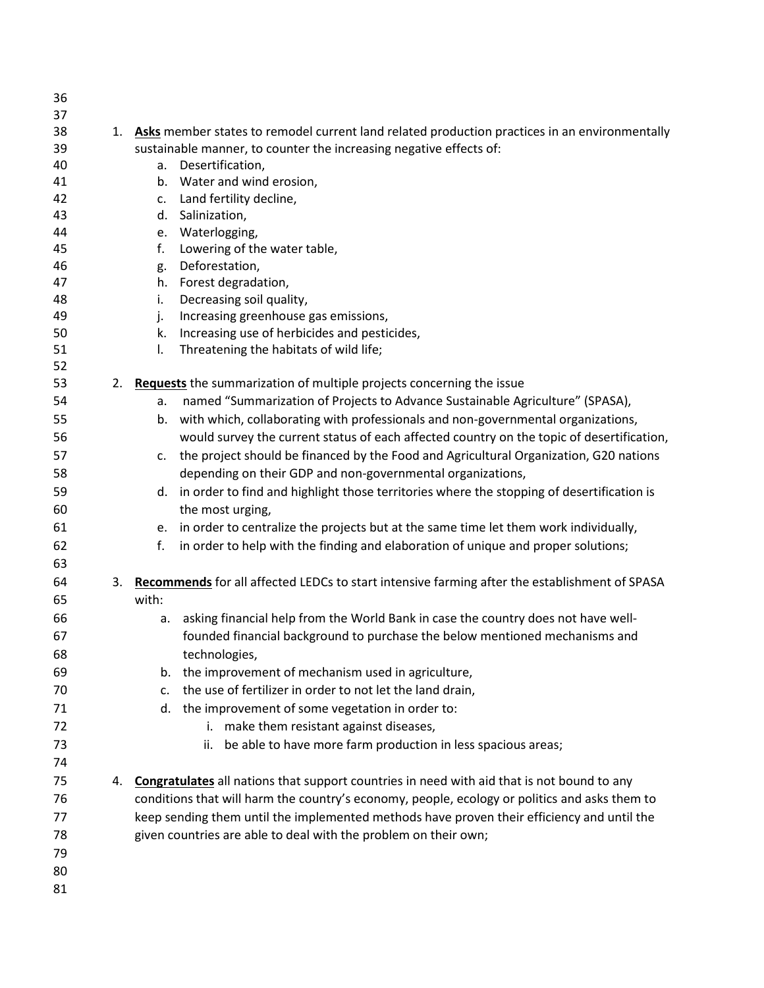| 36 |    |                                                                                                  |
|----|----|--------------------------------------------------------------------------------------------------|
| 37 |    |                                                                                                  |
| 38 |    | 1. Asks member states to remodel current land related production practices in an environmentally |
| 39 |    | sustainable manner, to counter the increasing negative effects of:                               |
| 40 |    | a. Desertification,                                                                              |
| 41 |    | b. Water and wind erosion,                                                                       |
| 42 |    | Land fertility decline,<br>c.                                                                    |
| 43 |    | Salinization,<br>d.                                                                              |
| 44 |    | e. Waterlogging,                                                                                 |
| 45 |    | f.<br>Lowering of the water table,                                                               |
| 46 |    | Deforestation,<br>g.                                                                             |
| 47 |    | h. Forest degradation,                                                                           |
| 48 |    | Decreasing soil quality,<br>i.                                                                   |
| 49 |    | Increasing greenhouse gas emissions,<br>j.                                                       |
| 50 |    | Increasing use of herbicides and pesticides,<br>k.                                               |
| 51 |    | Threatening the habitats of wild life;<br>I.                                                     |
| 52 |    |                                                                                                  |
| 53 | 2. | Requests the summarization of multiple projects concerning the issue                             |
| 54 |    | named "Summarization of Projects to Advance Sustainable Agriculture" (SPASA),<br>a.              |
| 55 |    | b. with which, collaborating with professionals and non-governmental organizations,              |
| 56 |    | would survey the current status of each affected country on the topic of desertification,        |
| 57 |    | c. the project should be financed by the Food and Agricultural Organization, G20 nations         |
| 58 |    | depending on their GDP and non-governmental organizations,                                       |
| 59 |    | d. in order to find and highlight those territories where the stopping of desertification is     |
| 60 |    | the most urging,                                                                                 |
| 61 |    | e. in order to centralize the projects but at the same time let them work individually,          |
| 62 |    | in order to help with the finding and elaboration of unique and proper solutions;<br>f.          |
| 63 |    |                                                                                                  |
| 64 | 3. | Recommends for all affected LEDCs to start intensive farming after the establishment of SPASA    |
| 65 |    | with:                                                                                            |
| 66 |    | asking financial help from the World Bank in case the country does not have well-<br>a.          |
| 67 |    | founded financial background to purchase the below mentioned mechanisms and                      |
| 68 |    | technologies,                                                                                    |
|    |    | b.                                                                                               |
| 69 |    | the improvement of mechanism used in agriculture,                                                |
| 70 |    | the use of fertilizer in order to not let the land drain,<br>c.                                  |
| 71 |    | d. the improvement of some vegetation in order to:                                               |
| 72 |    | i. make them resistant against diseases,                                                         |
| 73 |    | be able to have more farm production in less spacious areas;<br>ii.                              |
| 74 |    |                                                                                                  |
| 75 | 4. | Congratulates all nations that support countries in need with aid that is not bound to any       |
| 76 |    | conditions that will harm the country's economy, people, ecology or politics and asks them to    |
| 77 |    | keep sending them until the implemented methods have proven their efficiency and until the       |
| 78 |    | given countries are able to deal with the problem on their own;                                  |
| 79 |    |                                                                                                  |
| 80 |    |                                                                                                  |
| 81 |    |                                                                                                  |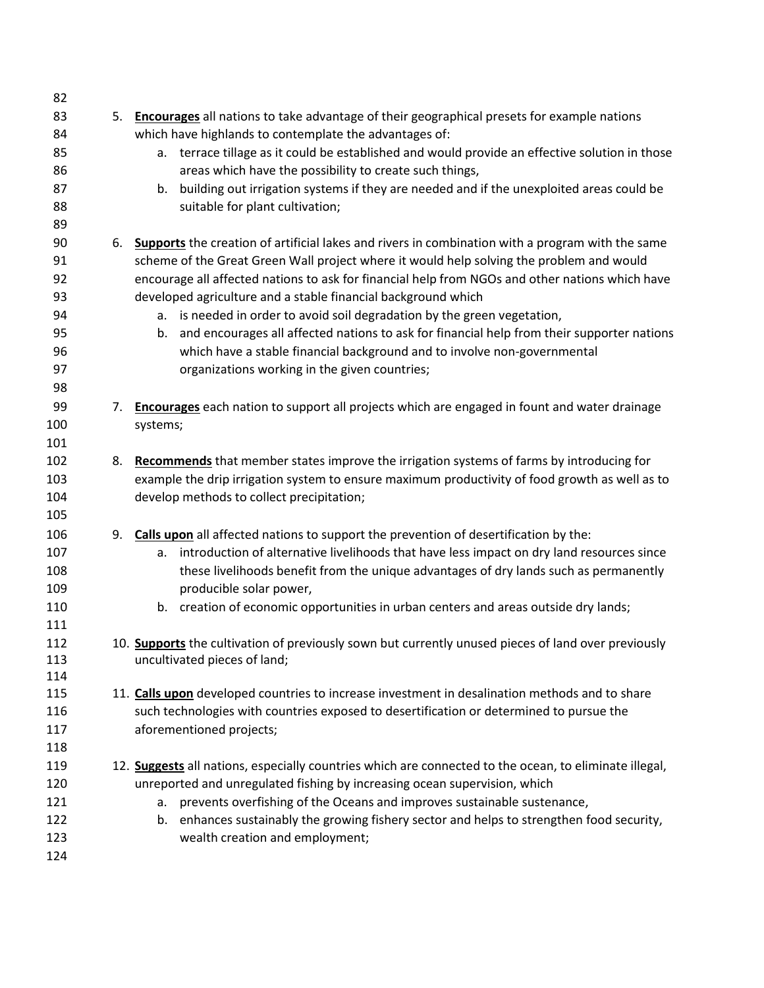| 82  |    |                                                                                                        |
|-----|----|--------------------------------------------------------------------------------------------------------|
| 83  | 5. | <b>Encourages</b> all nations to take advantage of their geographical presets for example nations      |
| 84  |    | which have highlands to contemplate the advantages of:                                                 |
| 85  |    | a. terrace tillage as it could be established and would provide an effective solution in those         |
| 86  |    | areas which have the possibility to create such things,                                                |
| 87  |    | building out irrigation systems if they are needed and if the unexploited areas could be<br>b.         |
| 88  |    | suitable for plant cultivation;                                                                        |
| 89  |    |                                                                                                        |
| 90  | 6. | Supports the creation of artificial lakes and rivers in combination with a program with the same       |
| 91  |    | scheme of the Great Green Wall project where it would help solving the problem and would               |
| 92  |    | encourage all affected nations to ask for financial help from NGOs and other nations which have        |
| 93  |    | developed agriculture and a stable financial background which                                          |
| 94  |    | a. is needed in order to avoid soil degradation by the green vegetation,                               |
| 95  |    | and encourages all affected nations to ask for financial help from their supporter nations<br>b.       |
| 96  |    | which have a stable financial background and to involve non-governmental                               |
| 97  |    | organizations working in the given countries;                                                          |
| 98  |    |                                                                                                        |
| 99  | 7. | <b>Encourages</b> each nation to support all projects which are engaged in fount and water drainage    |
| 100 |    | systems;                                                                                               |
| 101 |    |                                                                                                        |
| 102 | 8. | Recommends that member states improve the irrigation systems of farms by introducing for               |
| 103 |    | example the drip irrigation system to ensure maximum productivity of food growth as well as to         |
| 104 |    | develop methods to collect precipitation;                                                              |
| 105 |    |                                                                                                        |
| 106 | 9. | Calls upon all affected nations to support the prevention of desertification by the:                   |
| 107 |    | introduction of alternative livelihoods that have less impact on dry land resources since<br>a.        |
| 108 |    | these livelihoods benefit from the unique advantages of dry lands such as permanently                  |
| 109 |    | producible solar power,                                                                                |
| 110 |    | b. creation of economic opportunities in urban centers and areas outside dry lands;                    |
| 111 |    |                                                                                                        |
| 112 |    | 10. Supports the cultivation of previously sown but currently unused pieces of land over previously    |
| 113 |    | uncultivated pieces of land;                                                                           |
| 114 |    |                                                                                                        |
| 115 |    | 11. Calls upon developed countries to increase investment in desalination methods and to share         |
| 116 |    | such technologies with countries exposed to desertification or determined to pursue the                |
| 117 |    | aforementioned projects;                                                                               |
| 118 |    |                                                                                                        |
| 119 |    | 12. Suggests all nations, especially countries which are connected to the ocean, to eliminate illegal, |
| 120 |    | unreported and unregulated fishing by increasing ocean supervision, which                              |
| 121 |    | prevents overfishing of the Oceans and improves sustainable sustenance,<br>а.                          |
| 122 |    | b. enhances sustainably the growing fishery sector and helps to strengthen food security,              |
| 123 |    | wealth creation and employment;                                                                        |
| 124 |    |                                                                                                        |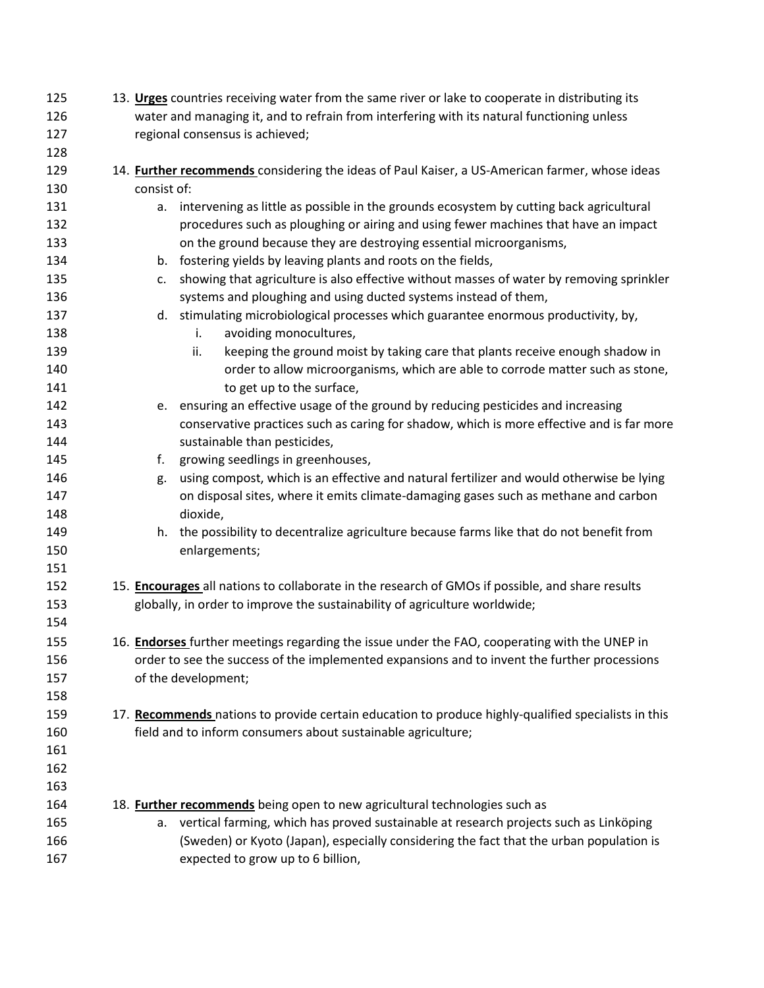| 125 | 13. Urges countries receiving water from the same river or lake to cooperate in distributing its      |
|-----|-------------------------------------------------------------------------------------------------------|
| 126 | water and managing it, and to refrain from interfering with its natural functioning unless            |
| 127 | regional consensus is achieved;                                                                       |
| 128 |                                                                                                       |
| 129 | 14. <b>Further recommends</b> considering the ideas of Paul Kaiser, a US-American farmer, whose ideas |
| 130 | consist of:                                                                                           |
| 131 | a. intervening as little as possible in the grounds ecosystem by cutting back agricultural            |
| 132 | procedures such as ploughing or airing and using fewer machines that have an impact                   |
| 133 | on the ground because they are destroying essential microorganisms,                                   |
| 134 | b. fostering yields by leaving plants and roots on the fields,                                        |
| 135 | showing that agriculture is also effective without masses of water by removing sprinkler<br>c.        |
| 136 | systems and ploughing and using ducted systems instead of them,                                       |
| 137 | d. stimulating microbiological processes which guarantee enormous productivity, by,                   |
| 138 | avoiding monocultures,<br>i.                                                                          |
| 139 | ii.<br>keeping the ground moist by taking care that plants receive enough shadow in                   |
| 140 | order to allow microorganisms, which are able to corrode matter such as stone,                        |
| 141 | to get up to the surface,                                                                             |
| 142 | e. ensuring an effective usage of the ground by reducing pesticides and increasing                    |
| 143 | conservative practices such as caring for shadow, which is more effective and is far more             |
| 144 | sustainable than pesticides,                                                                          |
| 145 | growing seedlings in greenhouses,<br>f.                                                               |
| 146 | using compost, which is an effective and natural fertilizer and would otherwise be lying<br>g.        |
| 147 | on disposal sites, where it emits climate-damaging gases such as methane and carbon                   |
| 148 | dioxide,                                                                                              |
| 149 | h. the possibility to decentralize agriculture because farms like that do not benefit from            |
| 150 | enlargements;                                                                                         |
| 151 |                                                                                                       |
| 152 | 15. Encourages all nations to collaborate in the research of GMOs if possible, and share results      |
| 153 | globally, in order to improve the sustainability of agriculture worldwide;                            |
| 154 |                                                                                                       |
| 155 | 16. Endorses further meetings regarding the issue under the FAO, cooperating with the UNEP in         |
| 156 | order to see the success of the implemented expansions and to invent the further processions          |
| 157 | of the development;                                                                                   |
| 158 |                                                                                                       |
| 159 | 17. Recommends nations to provide certain education to produce highly-qualified specialists in this   |
| 160 | field and to inform consumers about sustainable agriculture;                                          |
| 161 |                                                                                                       |
| 162 |                                                                                                       |
| 163 |                                                                                                       |
| 164 |                                                                                                       |
|     | 18. Further recommends being open to new agricultural technologies such as                            |
| 165 | vertical farming, which has proved sustainable at research projects such as Linköping<br>а.           |
| 166 | (Sweden) or Kyoto (Japan), especially considering the fact that the urban population is               |
| 167 | expected to grow up to 6 billion,                                                                     |